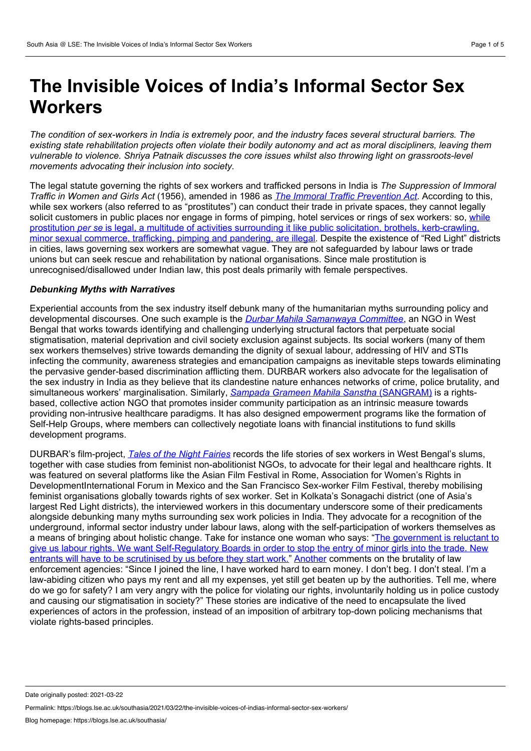# **The Invisible Voices of India's Informal Sector Sex Workers**

The condition of sex-workers in India is extremely poor, and the industry faces several structural barriers. The existing state rehabilitation projects often violate their bodily autonomy and act as moral discipliners, leaving them *vulnerable to violence. Shriya Patnaik discusses the core issues whilst also throwing light on grassroots-level movements advocating their inclusion into society.*

The legal statute governing the rights of sex workers and trafficked persons in India is *The Suppression of Immoral Traffic in Women and Girls Act* (1956), amended in 1986 as *The Immoral Traffic [Prevention](http://www.protectionproject.org/wp-content/uploads/2010/09/India_Acts_1986.pdf) Act*. According to this, while sex workers (also referred to as "prostitutes") can conduct their trade in private spaces, they cannot legally solicit customers in public places nor engage in forms of pimping, hotel services or rings of sex workers: so, while prostitution *per se* is legal, a multitude of activities surrounding it like public solicitation, brothels, [kerb-crawling,](https://indiankanoon.org/doc/139656816/) minor sexual commerce, trafficking, pimping and pandering, are illegal. Despite the existence of "Red Light" districts in cities, laws governing sex workers are somewhat vague. They are not safeguarded by labour laws or trade unions but can seek rescue and rehabilitation by national organisations. Since male prostitution is unrecognised/disallowed under Indian law, this post deals primarily with female perspectives.

# *Debunking Myths with Narratives*

Experiential accounts from the sex industry itself debunk many of the humanitarian myths surrounding policy and developmental discourses. One such example is the *Durbar Mahila [Samanwaya](https://durbar.org/) Committee*, an NGO in West Bengal that works towards identifying and challenging underlying structural factors that perpetuate social stigmatisation, material deprivation and civil society exclusion against subjects. Its social workers (many of them sex workers themselves) strive towards demanding the dignity of sexual labour, addressing of HIV and STIs infecting the community, awareness strategies and emancipation campaigns as inevitable steps towards eliminating the pervasive gender-based discrimination afflicting them. DURBAR workers also advocate for the legalisation of the sex industry in India as they believe that its clandestine nature enhances networks of crime, police brutality, and simultaneous workers' marginalisation. Similarly, *Sampada Grameen Mahila Sanstha* [\(SANGRAM\)](https://www.sangram.org/) is a rights based, collective action NGO that promotes insider community participation as an intrinsic measure towards providing non-intrusive healthcare paradigms. It has also designed empowerment programs like the formation of Self-Help Groups, where members can collectively negotiate loans with financial institutions to fund skills development programs.

DURBAR's film-project, *Tales of the Night [Fairies](https://www.youtube.com/watch?v=Ystke5m8now)* records the life stories of sex workers in West Bengal's slums, together with case studies from feminist non-abolitionist NGOs, to advocate for their legal and healthcare rights. It was featured on several platforms like the Asian Film Festival in Rome, Association for Women's Rights in DevelopmentInternational Forum in Mexico and the San Francisco Sex-worker Film Festival, thereby mobilising feminist organisations globally towards rights of sex worker. Set in Kolkata's Sonagachi district (one of Asia's largest Red Light districts), the interviewed workers in this documentary underscore some of their predicaments alongside debunking many myths surrounding sex work policies in India. They advocate for a recognition of the underground, informal sector industry under labour laws, along with the self-participation of workers themselves as a means of bringing about holistic change. Take for instance one woman who says: "The government is reluctant to give us labour rights. We want [Self-Regulatory](https://www.youtube.com/watch?v=Ystke5m8now&ab_channel=indocuonline) Boards in order to stop the entry of minor girls into the trade. New entrants will have to be scrutinised by us before they start work." [Another](https://www.youtube.com/watch?v=Ystke5m8now&ab_channel=indocuonline) comments on the brutality of law enforcement agencies: "Since I joined the line, I have worked hard to earn money. I don't beg. I don't steal. I'm a law-abiding citizen who pays my rent and all my expenses, yet still get beaten up by the authorities. Tell me, where do we go for safety? I am very angry with the police for violating our rights, involuntarily holding us in police custody and causing our stigmatisation in society?" These stories are indicative of the need to encapsulate the lived experiences of actors in the profession, instead of an imposition of arbitrary top-down policing mechanisms that violate rights-based principles.

Date originally posted: 2021-03-22

Permalink: https://blogs.lse.ac.uk/southasia/2021/03/22/the-invisible-voices-of-indias-informal-sector-sex-workers/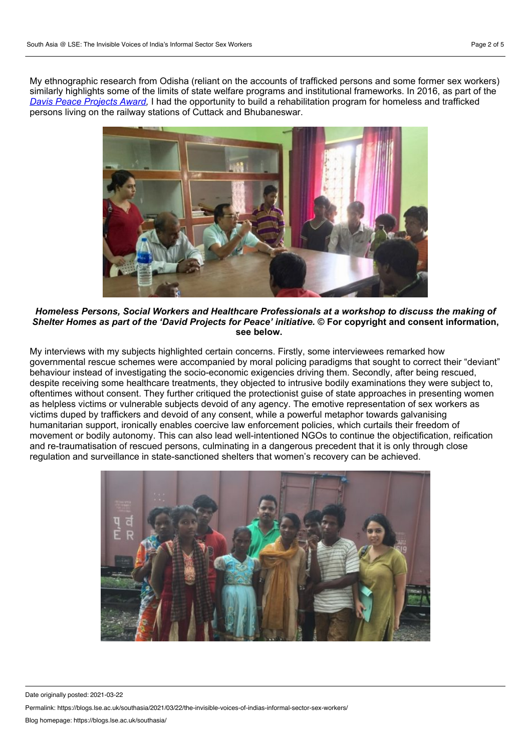My ethnographic research from Odisha (reliant on the accounts of trafficked persons and some former sex workers) similarly highlights some of the limits of state welfare programs and institutional frameworks. In 2016, as part of the *Davis Peace [Projects](https://www.davisprojectsforpeace.org/international/projects/node/4562) Award,* I had the opportunity to build a rehabilitation program for homeless and trafficked persons living on the railway stations of Cuttack and Bhubaneswar.



*Homeless Persons, Social Workers and Healthcare Professionals at a workshop to discuss the making of* Shelter Homes as part of the 'David Projects for Peace' initiative. © For copyright and consent information, **see below.**

My interviews with my subjects highlighted certain concerns. Firstly, some interviewees remarked how governmental rescue schemes were accompanied by moral policing paradigms that sought to correct their "deviant" behaviour instead of investigating the socio-economic exigencies driving them. Secondly, after being rescued, despite receiving some healthcare treatments, they objected to intrusive bodily examinations they were subject to, oftentimes without consent. They further critiqued the protectionist guise of state approaches in presenting women as helpless victims or vulnerable subjects devoid of any agency. The emotive representation of sex workers as victims duped by traffickers and devoid of any consent, while a powerful metaphor towards galvanising humanitarian support, ironically enables coercive law enforcement policies, which curtails their freedom of movement or bodily autonomy. This can also lead well-intentioned NGOs to continue the objectification, reification and re-traumatisation of rescued persons, culminating in a dangerous precedent that it is only through close regulation and surveillance in state-sanctioned shelters that women's recovery can be achieved.



Date originally posted: 2021-03-22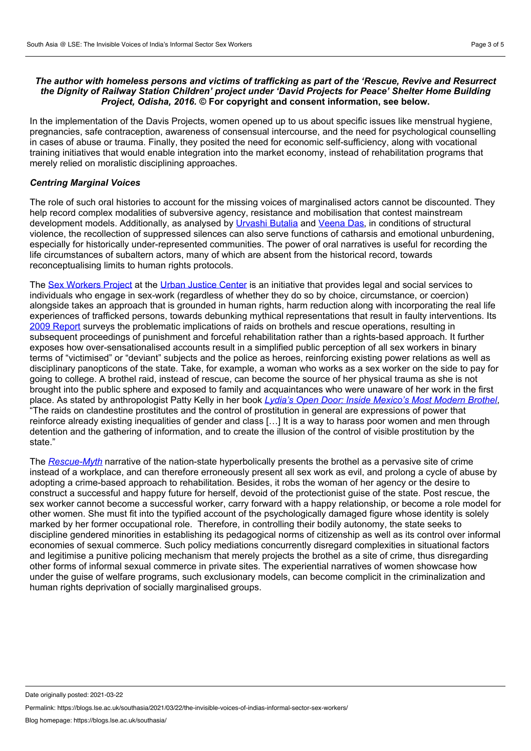# *The author with homeless persons and victims of trafficking as part of the 'Rescue, Revive and Resurrect the Dignity of Railway Station Children' project under 'David Projects for Peace' Shelter Home Building Project, Odisha, 2016.* **© For copyright and consent information, see below.**

In the implementation of the Davis Projects, women opened up to us about specific issues like menstrual hygiene, pregnancies, safe contraception, awareness of consensual intercourse, and the need for psychological counselling in cases of abuse or trauma. Finally, they posited the need for economic self-sufficiency, along with vocational training initiatives that would enable integration into the market economy, instead of rehabilitation programs that merely relied on moralistic disciplining approaches.

#### *Centring Marginal Voices*

The role of such oral histories to account for the missing voices of marginalised actors cannot be discounted. They help record complex modalities of subversive agency, resistance and mobilisation that contest mainstream development models. Additionally, as analysed by [Urvashi](https://www.dukeupress.edu/the-other-side-of-silence) Butalia and [Veena](https://www.ucpress.edu/book/9780520216082/violence-and-subjectivity) Das, in conditions of structural violence, the recollection of suppressed silences can also serve functions of catharsis and emotional unburdening, especially for historically under-represented communities. The power of oral narratives is useful for recording the life circumstances of subaltern actors, many of which are absent from the historical record, towards reconceptualising limits to human rights protocols.

The Sex [Workers](https://sexworkersproject.org/) Project at the Urban [Justice](https://www.urbanjustice.org/) Center is an initiative that provides legal and social services to individuals who engage in sex-work (regardless of whether they do so by choice, circumstance, or coercion) alongside takes an approach that is grounded in human rights, harm reduction along with incorporating the real life experiences of trafficked persons, towards debunking mythical representations that result in faulty interventions. Its 2009 [Report](https://sexworkersproject.org/downloads/swp-2009-raids-and-trafficking-report.pdf) surveys the problematic implications of raids on brothels and rescue operations, resulting in subsequent proceedings of punishment and forceful rehabilitation rather than a rights-based approach. It further exposes how over-sensationalised accounts result in a simplified public perception of all sex workers in binary terms of "victimised" or "deviant" subjects and the police as heroes, reinforcing existing power relations as well as disciplinary panopticons of the state. Take, for example, a woman who works as a sex worker on the side to pay for going to college. A brothel raid, instead of rescue, can become the source of her physical trauma as she is not brought into the public sphere and exposed to family and acquaintances who were unaware of her work in the first place. As stated by anthropologist Patty Kelly in her book *Lydia's Open Door: Inside [Mexico's](https://www.ucpress.edu/book/9780520255364/lydias-open-door) Most Modern Brothel*, "The raids on clandestine prostitutes and the control of prostitution in general are expressions of power that reinforce already existing inequalities of gender and class […] It is a way to harass poor women and men through detention and the gathering of information, and to create the illusion of the control of visible prostitution by the state."

The *[Rescue-Myth](https://www.taylorfrancis.com/books/e/9781315636269)* narrative of the nation-state hyperbolically presents the brothel as a pervasive site of crime instead of a workplace, and can therefore erroneously present all sex work as evil, and prolong a cycle of abuse by adopting a crime-based approach to rehabilitation. Besides, it robs the woman of her agency or the desire to construct a successful and happy future for herself, devoid of the protectionist guise of the state. Post rescue, the sex worker cannot become a successful worker, carry forward with a happy relationship, or become a role model for other women. She must fit into the typified account of the psychologically damaged figure whose identity is solely marked by her former occupational role. Therefore, in controlling their bodily autonomy, the state seeks to discipline gendered minorities in establishing its pedagogical norms of citizenship as well as its control over informal economies of sexual commerce. Such policy mediations concurrently disregard complexities in situational factors and legitimise a punitive policing mechanism that merely projects the brothel as a site of crime, thus disregarding other forms of informal sexual commerce in private sites. The experiential narratives of women showcase how under the guise of welfare programs, such exclusionary models, can become complicit in the criminalization and human rights deprivation of socially marginalised groups.

Date originally posted: 2021-03-22

Permalink: https://blogs.lse.ac.uk/southasia/2021/03/22/the-invisible-voices-of-indias-informal-sector-sex-workers/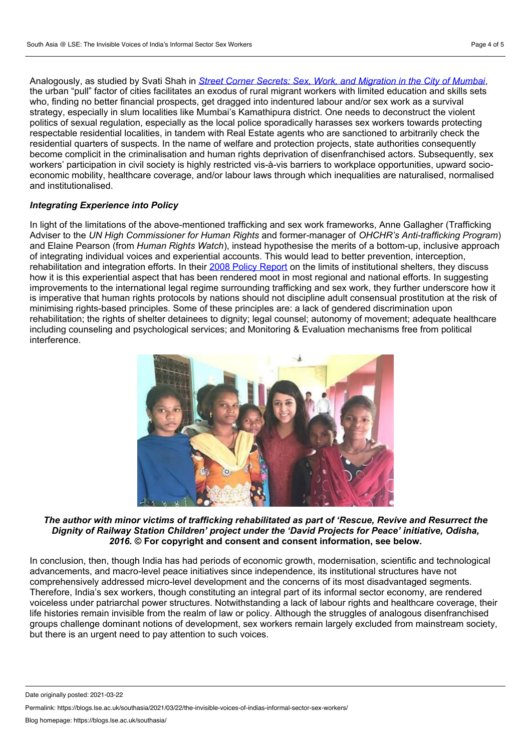Analogously, as studied by Svati Shah in *Street Corner Secrets: Sex, Work, and [Migration](https://www.dukeupress.edu/street-corner-secrets) in the City of Mumbai*, the urban "pull" factor of cities facilitates an exodus of rural migrant workers with limited education and skills sets who, finding no better financial prospects, get dragged into indentured labour and/or sex work as a survival strategy, especially in slum localities like Mumbai's Kamathipura district. One needs to deconstruct the violent politics of sexual regulation, especially as the local police sporadically harasses sex workers towards protecting respectable residential localities, in tandem with Real Estate agents who are sanctioned to arbitrarily check the residential quarters of suspects. In the name of welfare and protection projects, state authorities consequently become complicit in the criminalisation and human rights deprivation of disenfranchised actors. Subsequently, sex workers' participation in civil society is highly restricted vis-à-vis barriers to workplace opportunities, upward socio economic mobility, healthcare coverage, and/or labour laws through which inequalities are naturalised, normalised and institutionalised.

# *Integrating Experience into Policy*

In light of the limitations of the above-mentioned trafficking and sex work frameworks, Anne Gallagher (Trafficking Adviser to the *UN High Commissioner for Human Rights* and former-manager of *OHCHR's Anti-trafficking Program*) and Elaine Pearson (from *Human Rights Watch*), instead hypothesise the merits of a bottom-up, inclusive approach of integrating individual voices and experiential accounts. This would lead to better prevention, interception, rehabilitation and integration efforts. In their 2008 Policy [Report](https://papers.ssrn.com/sol3/papers.cfm?abstract_id=1239745) on the limits of institutional shelters, they discuss how it is this experiential aspect that has been rendered moot in most regional and national efforts. In suggesting improvements to the international legal regime surrounding trafficking and sex work, they further underscore how it is imperative that human rights protocols by nations should not discipline adult consensual prostitution at the risk of minimising rights-based principles. Some of these principles are: a lack of gendered discrimination upon rehabilitation; the rights of shelter detainees to dignity; legal counsel; autonomy of movement; adequate healthcare including counseling and psychological services; and Monitoring & Evaluation mechanisms free from political interference.



*The author with minor victims of trafficking rehabilitated as part of 'Rescue, Revive and Resurrect the Dignity of Railway Station Children' project under the 'David Projects for Peace' initiative, Odisha, 2016.* **© For copyright and consent and consent information, see below.**

In conclusion, then, though India has had periods of economic growth, modernisation, scientific and technological advancements, and macro-level peace initiatives since independence, its institutional structures have not comprehensively addressed micro-level development and the concerns of its most disadvantaged segments. Therefore, India's sex workers, though constituting an integral part of its informal sector economy, are rendered voiceless under patriarchal power structures. Notwithstanding a lack of labour rights and healthcare coverage, their life histories remain invisible from the realm of law or policy. Although the struggles of analogous disenfranchised groups challenge dominant notions of development, sex workers remain largely excluded from mainstream society, but there is an urgent need to pay attention to such voices.

Date originally posted: 2021-03-22

Permalink: https://blogs.lse.ac.uk/southasia/2021/03/22/the-invisible-voices-of-indias-informal-sector-sex-workers/